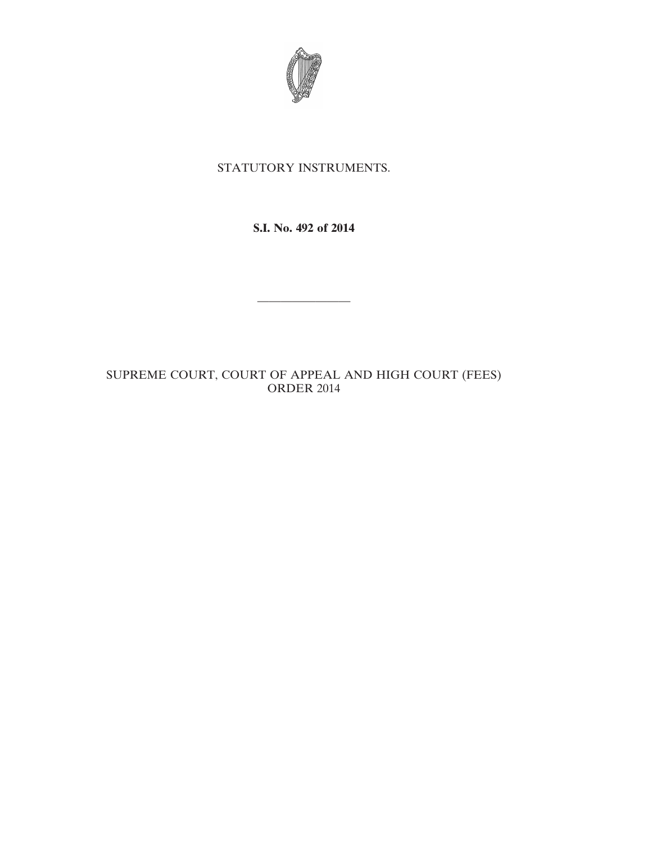

# STATUTORY INSTRUMENTS.

**S.I. No. 492 of 2014**

————————

# SUPREME COURT, COURT OF APPEAL AND HIGH COURT (FEES) ORDER 2014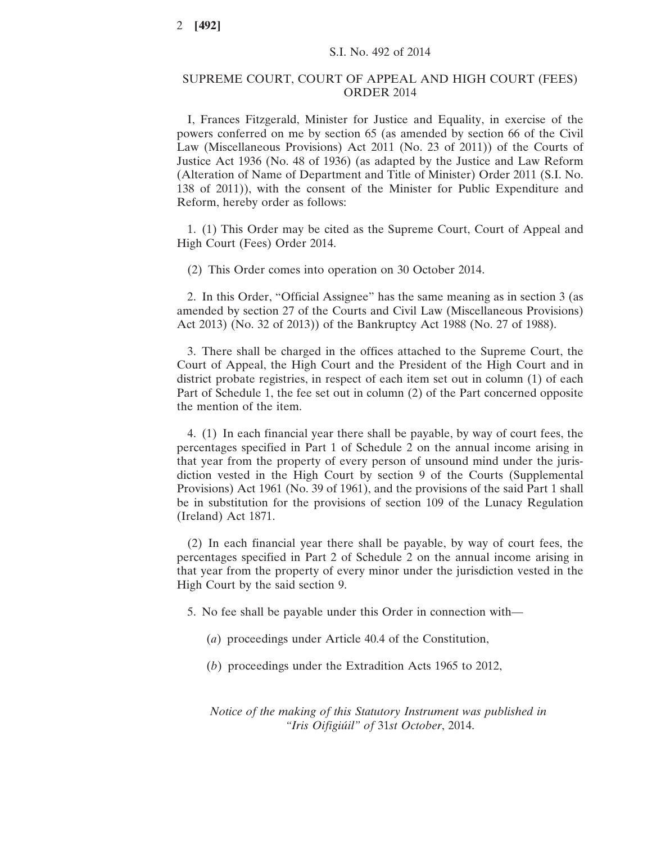#### SUPREME COURT, COURT OF APPEAL AND HIGH COURT (FEES) ORDER 2014

I, Frances Fitzgerald, Minister for Justice and Equality, in exercise of the powers conferred on me by section 65 (as amended by section 66 of the Civil Law (Miscellaneous Provisions) Act 2011 (No. 23 of 2011)) of the Courts of Justice Act 1936 (No. 48 of 1936) (as adapted by the Justice and Law Reform (Alteration of Name of Department and Title of Minister) Order 2011 (S.I. No. 138 of 2011)), with the consent of the Minister for Public Expenditure and Reform, hereby order as follows:

1. (1) This Order may be cited as the Supreme Court, Court of Appeal and High Court (Fees) Order 2014.

(2) This Order comes into operation on 30 October 2014.

2. In this Order, "Official Assignee" has the same meaning as in section 3 (as amended by section 27 of the Courts and Civil Law (Miscellaneous Provisions) Act 2013) (No. 32 of 2013)) of the Bankruptcy Act 1988 (No. 27 of 1988).

3. There shall be charged in the offices attached to the Supreme Court, the Court of Appeal, the High Court and the President of the High Court and in district probate registries, in respect of each item set out in column (1) of each Part of Schedule 1, the fee set out in column (2) of the Part concerned opposite the mention of the item.

4. (1) In each financial year there shall be payable, by way of court fees, the percentages specified in Part 1 of Schedule 2 on the annual income arising in that year from the property of every person of unsound mind under the jurisdiction vested in the High Court by section 9 of the Courts (Supplemental Provisions) Act 1961 (No. 39 of 1961), and the provisions of the said Part 1 shall be in substitution for the provisions of section 109 of the Lunacy Regulation (Ireland) Act 1871.

(2) In each financial year there shall be payable, by way of court fees, the percentages specified in Part 2 of Schedule 2 on the annual income arising in that year from the property of every minor under the jurisdiction vested in the High Court by the said section 9.

5. No fee shall be payable under this Order in connection with—

- (*a*) proceedings under Article 40.4 of the Constitution,
- (*b*) proceedings under the Extradition Acts 1965 to 2012,

*Notice of the making of this Statutory Instrument was published in "Iris Oifigiúil" of* 31*st October*, 2014.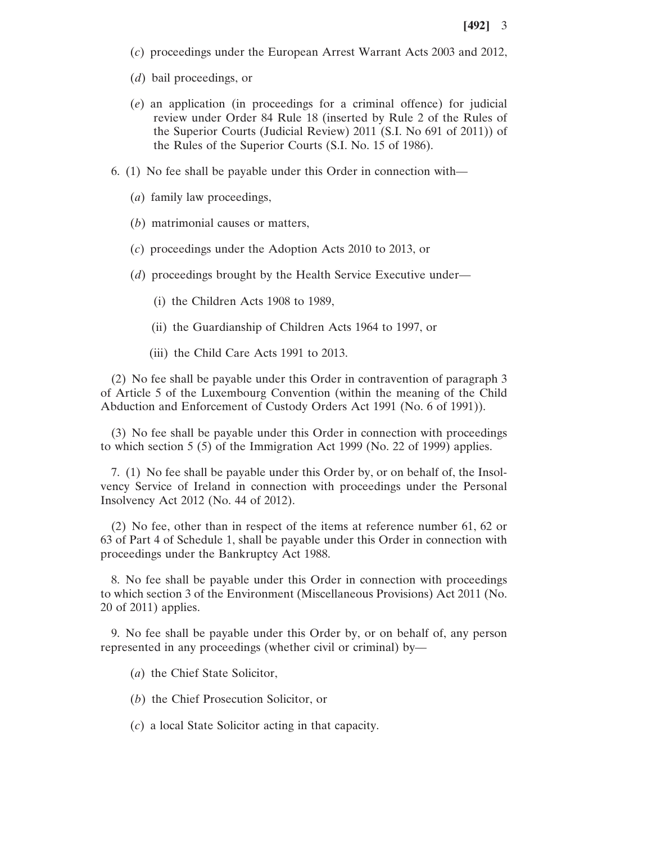- (*c*) proceedings under the European Arrest Warrant Acts 2003 and 2012,
- (*d*) bail proceedings, or
- (*e*) an application (in proceedings for a criminal offence) for judicial review under Order 84 Rule 18 (inserted by Rule 2 of the Rules of the Superior Courts (Judicial Review) 2011 (S.I. No 691 of 2011)) of the Rules of the Superior Courts (S.I. No. 15 of 1986).
- 6. (1) No fee shall be payable under this Order in connection with—
	- (*a*) family law proceedings,
	- (*b*) matrimonial causes or matters,
	- (*c*) proceedings under the Adoption Acts 2010 to 2013, or
	- (*d*) proceedings brought by the Health Service Executive under—
		- (i) the Children Acts 1908 to 1989,
		- (ii) the Guardianship of Children Acts 1964 to 1997, or
		- (iii) the Child Care Acts 1991 to 2013.

(2) No fee shall be payable under this Order in contravention of paragraph 3 of Article 5 of the Luxembourg Convention (within the meaning of the Child Abduction and Enforcement of Custody Orders Act 1991 (No. 6 of 1991)).

(3) No fee shall be payable under this Order in connection with proceedings to which section 5 (5) of the Immigration Act 1999 (No. 22 of 1999) applies.

7. (1) No fee shall be payable under this Order by, or on behalf of, the Insolvency Service of Ireland in connection with proceedings under the Personal Insolvency Act 2012 (No. 44 of 2012).

(2) No fee, other than in respect of the items at reference number 61, 62 or 63 of Part 4 of Schedule 1, shall be payable under this Order in connection with proceedings under the Bankruptcy Act 1988.

8. No fee shall be payable under this Order in connection with proceedings to which section 3 of the Environment (Miscellaneous Provisions) Act 2011 (No. 20 of 2011) applies.

9. No fee shall be payable under this Order by, or on behalf of, any person represented in any proceedings (whether civil or criminal) by—

(*a*) the Chief State Solicitor,

(*b*) the Chief Prosecution Solicitor, or

(*c*) a local State Solicitor acting in that capacity.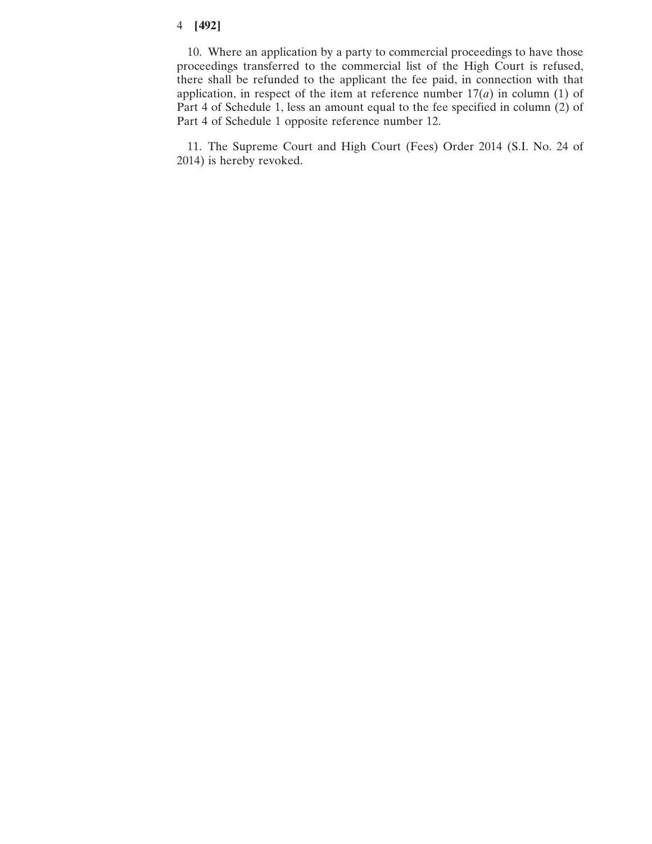10. Where an application by a party to commercial proceedings to have those proceedings transferred to the commercial list of the High Court is refused, there shall be refunded to the applicant the fee paid, in connection with that application, in respect of the item at reference number  $17(a)$  in column (1) of Part 4 of Schedule 1, less an amount equal to the fee specified in column (2) of Part 4 of Schedule 1 opposite reference number 12.

11. The Supreme Court and High Court (Fees) Order 2014 (S.I. No. 24 of 2014) is hereby revoked.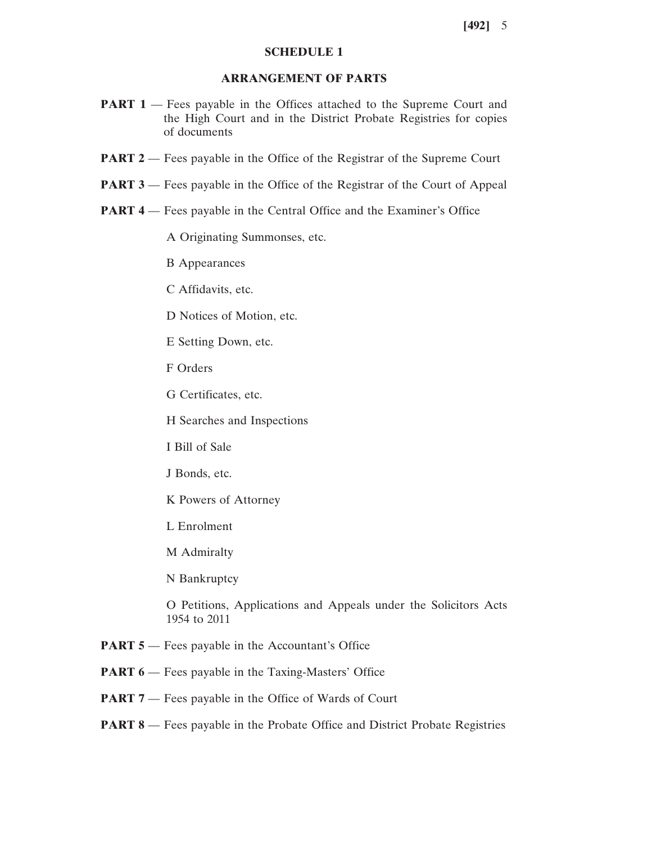#### **SCHEDULE 1**

### **ARRANGEMENT OF PARTS**

- **PART 1** Fees payable in the Offices attached to the Supreme Court and the High Court and in the District Probate Registries for copies of documents
- **PART 2** Fees payable in the Office of the Registrar of the Supreme Court
- **PART 3** Fees payable in the Office of the Registrar of the Court of Appeal
- **PART 4** Fees payable in the Central Office and the Examiner's Office

A Originating Summonses, etc.

B Appearances

C Affidavits, etc.

D Notices of Motion, etc.

E Setting Down, etc.

- F Orders
- G Certificates, etc.

H Searches and Inspections

- I Bill of Sale
- J Bonds, etc.
- K Powers of Attorney
- L Enrolment
- M Admiralty

N Bankruptcy

O Petitions, Applications and Appeals under the Solicitors Acts 1954 to 2011

- **PART 5** Fees payable in the Accountant's Office
- **PART 6** Fees payable in the Taxing-Masters' Office
- **PART 7** Fees payable in the Office of Wards of Court
- **PART 8** Fees payable in the Probate Office and District Probate Registries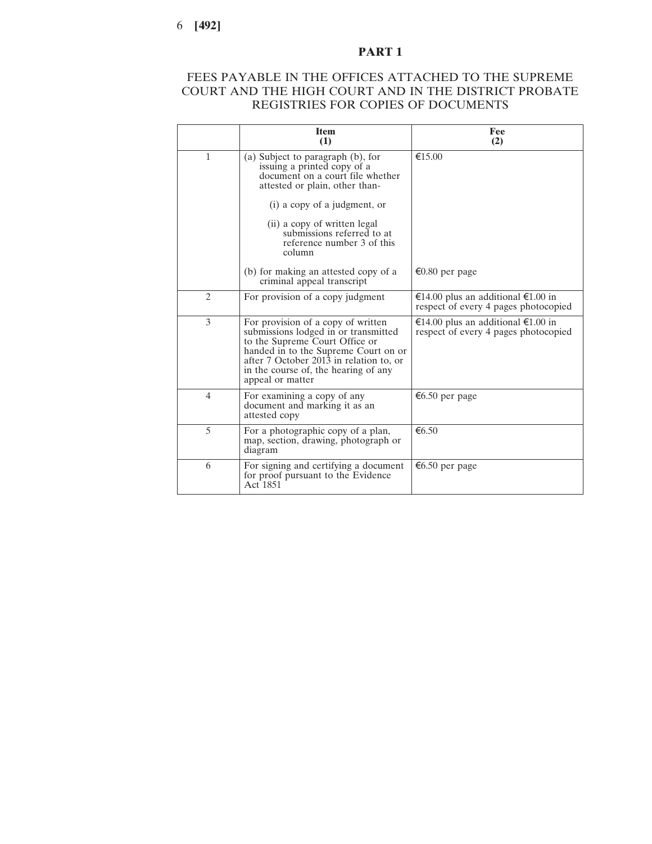## FEES PAYABLE IN THE OFFICES ATTACHED TO THE SUPREME COURT AND THE HIGH COURT AND IN THE DISTRICT PROBATE REGISTRIES FOR COPIES OF DOCUMENTS

|                | <b>Item</b><br>(1)                                                                                                                                                                                                                                          | Fee<br>(2)                                                                   |
|----------------|-------------------------------------------------------------------------------------------------------------------------------------------------------------------------------------------------------------------------------------------------------------|------------------------------------------------------------------------------|
| $\mathbf{1}$   | (a) Subject to paragraph (b), for<br>issuing a printed copy of a<br>document on a court file whether<br>attested or plain, other than-                                                                                                                      | €15.00                                                                       |
|                | (i) a copy of a judgment, or                                                                                                                                                                                                                                |                                                                              |
|                | (ii) a copy of written legal<br>submissions referred to at<br>reference number 3 of this<br>column                                                                                                                                                          |                                                                              |
|                | (b) for making an attested copy of a<br>criminal appeal transcript                                                                                                                                                                                          | €0.80 per page                                                               |
| $\overline{c}$ | For provision of a copy judgment                                                                                                                                                                                                                            | €14.00 plus an additional $€1.00$ in<br>respect of every 4 pages photocopied |
| 3              | For provision of a copy of written<br>submissions lodged in or transmitted<br>to the Supreme Court Office or<br>handed in to the Supreme Court on or<br>after 7 October 2013 in relation to, or<br>in the course of, the hearing of any<br>appeal or matter | €14.00 plus an additional €1.00 in<br>respect of every 4 pages photocopied   |
| $\overline{4}$ | For examining a copy of any<br>document and marking it as an<br>attested copy                                                                                                                                                                               | €6.50 per page                                                               |
| 5              | For a photographic copy of a plan,<br>map, section, drawing, photograph or<br>diagram                                                                                                                                                                       | €6.50                                                                        |
| 6              | For signing and certifying a document<br>for proof pursuant to the Evidence<br>Act 1851                                                                                                                                                                     | €6.50 per page                                                               |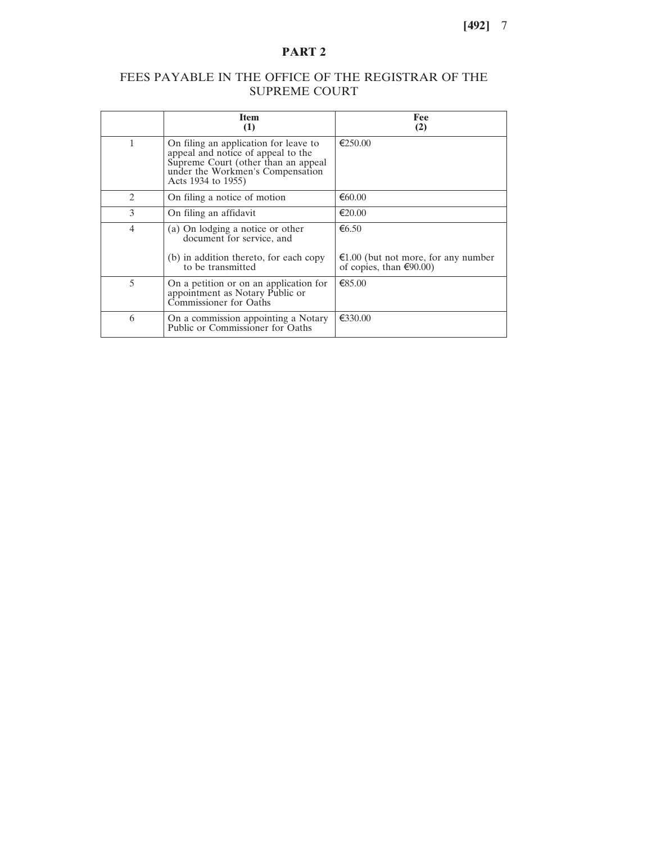## FEES PAYABLE IN THE OFFICE OF THE REGISTRAR OF THE SUPREME COURT

|                             | <b>Item</b><br>(1)                                                                                                                                                           | Fee<br>(2)                                                                         |
|-----------------------------|------------------------------------------------------------------------------------------------------------------------------------------------------------------------------|------------------------------------------------------------------------------------|
| 1                           | On filing an application for leave to<br>appeal and notice of appeal to the<br>Supreme Court (other than an appeal<br>under the Workmen's Compensation<br>Acts 1934 to 1955) | €250.00                                                                            |
| $\mathcal{D}_{\mathcal{L}}$ | On filing a notice of motion                                                                                                                                                 | €60.00                                                                             |
| 3                           | On filing an affidavit                                                                                                                                                       | $\epsilon$ 20.00                                                                   |
| $\overline{4}$              | (a) On lodging a notice or other<br>document for service, and                                                                                                                | € $6.50$                                                                           |
|                             | (b) in addition thereto, for each copy<br>to be transmitted                                                                                                                  | $\epsilon$ 1.00 (but not more, for any number<br>of copies, than $\epsilon$ 90.00) |
| 5                           | On a petition or on an application for<br>appointment as Notary Public or<br>Commissioner for Oaths                                                                          | €85.00                                                                             |
| 6                           | On a commission appointing a Notary<br>Public or Commissioner for Oaths                                                                                                      | €330.00                                                                            |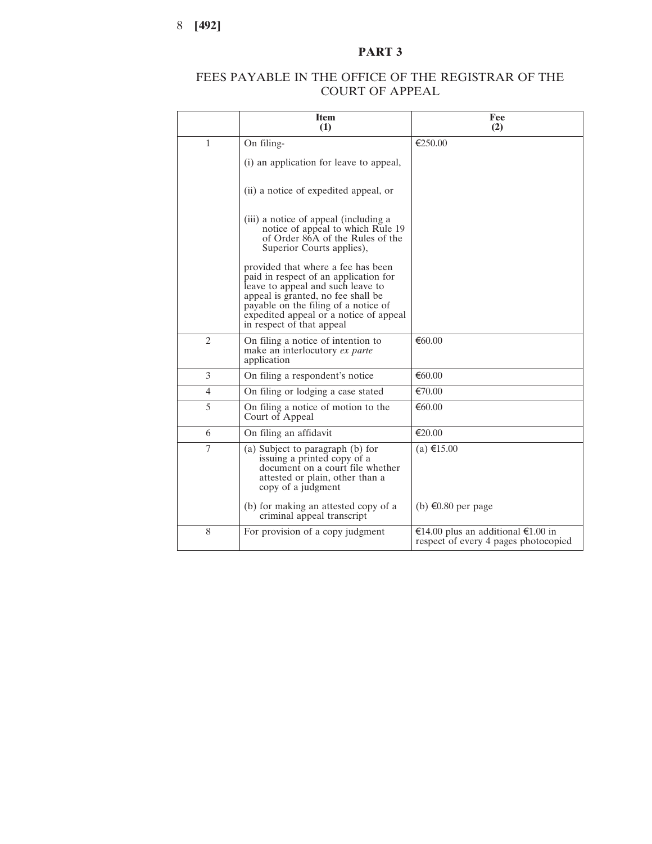## FEES PAYABLE IN THE OFFICE OF THE REGISTRAR OF THE COURT OF APPEAL

|                | <b>Item</b><br>(1)                                                                                                                                                                                                                                                    | Fee<br>(2)                                                                 |
|----------------|-----------------------------------------------------------------------------------------------------------------------------------------------------------------------------------------------------------------------------------------------------------------------|----------------------------------------------------------------------------|
| 1              | On filing-                                                                                                                                                                                                                                                            | €250.00                                                                    |
|                | (i) an application for leave to appeal,                                                                                                                                                                                                                               |                                                                            |
|                | (ii) a notice of expedited appeal, or                                                                                                                                                                                                                                 |                                                                            |
|                | (iii) a notice of appeal (including a<br>notice of appeal to which Rule 19<br>of Order 86A of the Rules of the<br>Superior Courts applies),                                                                                                                           |                                                                            |
|                | provided that where a fee has been<br>paid in respect of an application for<br>leave to appeal and such leave to<br>appeal is granted, no fee shall be<br>payable on the filing of a notice of<br>expedited appeal or a notice of appeal<br>in respect of that appeal |                                                                            |
| $\overline{2}$ | On filing a notice of intention to<br>make an interlocutory ex parte<br>application                                                                                                                                                                                   | € $60.00$                                                                  |
| 3              | On filing a respondent's notice                                                                                                                                                                                                                                       | €60.00                                                                     |
| $\overline{4}$ | On filing or lodging a case stated                                                                                                                                                                                                                                    | €70.00                                                                     |
| 5              | On filing a notice of motion to the<br>Court of Appeal                                                                                                                                                                                                                | € $60.00$                                                                  |
| 6              | On filing an affidavit                                                                                                                                                                                                                                                | €20.00                                                                     |
| $\overline{7}$ | (a) Subject to paragraph (b) for<br>issuing a printed copy of a<br>document on a court file whether<br>attested or plain, other than a<br>copy of a judgment                                                                                                          | (a) €15.00                                                                 |
|                | (b) for making an attested copy of a<br>criminal appeal transcript                                                                                                                                                                                                    | (b) €0.80 per page                                                         |
| 8              | For provision of a copy judgment                                                                                                                                                                                                                                      | €14.00 plus an additional €1.00 in<br>respect of every 4 pages photocopied |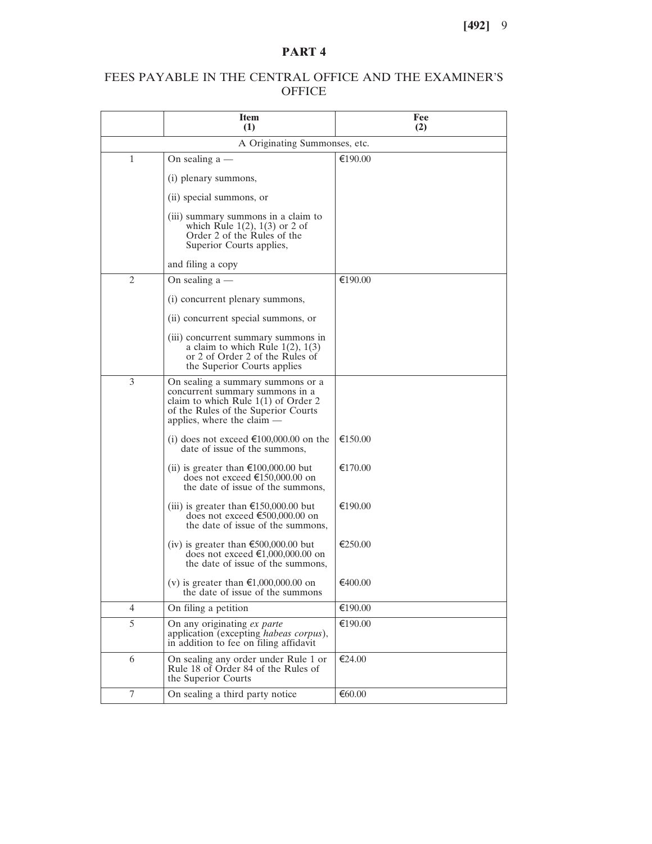## FEES PAYABLE IN THE CENTRAL OFFICE AND THE EXAMINER'S **OFFICE**

|                | <b>Item</b><br>(1)                                                                                                                                                                   | Fee<br>(2) |
|----------------|--------------------------------------------------------------------------------------------------------------------------------------------------------------------------------------|------------|
|                | A Originating Summonses, etc.                                                                                                                                                        |            |
| 1              | On sealing $a$ —                                                                                                                                                                     | €190.00    |
|                | (i) plenary summons,                                                                                                                                                                 |            |
|                | (ii) special summons, or                                                                                                                                                             |            |
|                | (iii) summary summons in a claim to<br>which Rule $1(2)$ , $1(3)$ or 2 of<br>Order 2 of the Rules of the<br>Superior Courts applies,                                                 |            |
|                | and filing a copy                                                                                                                                                                    |            |
| $\overline{2}$ | On sealing $a$ —                                                                                                                                                                     | €190.00    |
|                | (i) concurrent plenary summons,                                                                                                                                                      |            |
|                | (ii) concurrent special summons, or                                                                                                                                                  |            |
|                | (iii) concurrent summary summons in<br>a claim to which Rule $1(2)$ , $1(3)$<br>or 2 of Order 2 of the Rules of<br>the Superior Courts applies                                       |            |
| 3              | On sealing a summary summons or a<br>concurrent summary summons in a<br>claim to which Rule $1(1)$ of Order 2<br>of the Rules of the Superior Courts<br>applies, where the claim $-$ |            |
|                | (i) does not exceed €100,000.00 on the<br>date of issue of the summons,                                                                                                              | €150.00    |
|                | (ii) is greater than $\epsilon$ 100,000.00 but<br>does not exceed €150,000.00 on<br>the date of issue of the summons,                                                                | €170.00    |
|                | (iii) is greater than $\epsilon$ 150,000.00 but<br>does not exceed €500,000.00 on<br>the date of issue of the summons,                                                               | €190.00    |
|                | (iv) is greater than $\epsilon$ 500,000.00 but<br>does not exceed $\text{£}1,000,000.00$ on<br>the date of issue of the summons,                                                     | €250.00    |
|                | (v) is greater than $\epsilon 1,000,000.00$ on<br>the date of issue of the summons                                                                                                   | €400.00    |
| 4              | On filing a petition                                                                                                                                                                 | €190.00    |
| 5              | On any originating ex parte<br>application (excepting habeas corpus),<br>in addition to fee on filing affidavit                                                                      | €190.00    |
| 6              | On sealing any order under Rule 1 or<br>Rule 18 of Order 84 of the Rules of<br>the Superior Courts                                                                                   | €24.00     |
| 7              | On sealing a third party notice                                                                                                                                                      | € $60.00$  |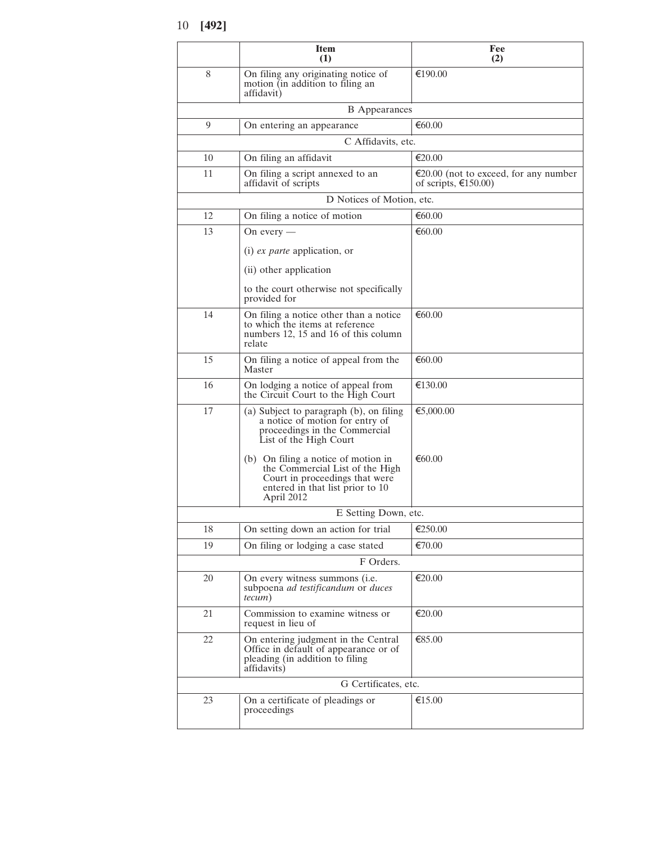|    | Item<br>(1)                                                                                                                                                | Fee<br>(2)                                                              |
|----|------------------------------------------------------------------------------------------------------------------------------------------------------------|-------------------------------------------------------------------------|
| 8  | On filing any originating notice of<br>motion (in addition to filing an<br>affidavit)                                                                      | €190.00                                                                 |
|    | <b>B</b> Appearances                                                                                                                                       |                                                                         |
| 9  | On entering an appearance                                                                                                                                  | €60.00                                                                  |
|    | C Affidavits, etc.                                                                                                                                         |                                                                         |
| 10 | On filing an affidavit                                                                                                                                     | €20.00                                                                  |
| 11 | On filing a script annexed to an<br>affidavit of scripts                                                                                                   | €20.00 (not to exceed, for any number<br>of scripts, $\epsilon$ 150.00) |
|    | D Notices of Motion, etc.                                                                                                                                  |                                                                         |
| 12 | On filing a notice of motion                                                                                                                               | €60.00                                                                  |
| 13 | On every $-$                                                                                                                                               | € $60.00$                                                               |
|    | $(i)$ <i>ex parte</i> application, or                                                                                                                      |                                                                         |
|    | (ii) other application                                                                                                                                     |                                                                         |
|    | to the court otherwise not specifically<br>provided for                                                                                                    |                                                                         |
| 14 | On filing a notice other than a notice<br>to which the items at reference<br>numbers 12, 15 and 16 of this column<br>relate                                | €60.00                                                                  |
| 15 | On filing a notice of appeal from the<br>Master                                                                                                            | €60.00                                                                  |
| 16 | On lodging a notice of appeal from<br>the Circuit Court to the High Court                                                                                  | €130.00                                                                 |
| 17 | (a) Subject to paragraph (b), on filing<br>a notice of motion for entry of<br>proceedings in the Commercial<br>List of the High Court                      | €5,000.00                                                               |
|    | (b) On filing a notice of motion in<br>the Commercial List of the High<br>Court in proceedings that were<br>entered in that list prior to 10<br>April 2012 | €60.00                                                                  |
|    | E Setting Down, etc.                                                                                                                                       |                                                                         |
| 18 | On setting down an action for trial                                                                                                                        | €250.00                                                                 |
| 19 | On filing or lodging a case stated                                                                                                                         | €70.00                                                                  |
|    | F Orders.                                                                                                                                                  |                                                                         |
| 20 | On every witness summons (i.e.<br>subpoena ad testificandum or duces<br>tecum)                                                                             | €20.00                                                                  |
| 21 | Commission to examine witness or<br>request in lieu of                                                                                                     | €20.00                                                                  |
| 22 | On entering judgment in the Central<br>Office in default of appearance or of<br>pleading (in addition to filing<br>affidavits)                             | €85.00                                                                  |
|    | G Certificates, etc.                                                                                                                                       |                                                                         |
| 23 | On a certificate of pleadings or<br>proceedings                                                                                                            | €15.00                                                                  |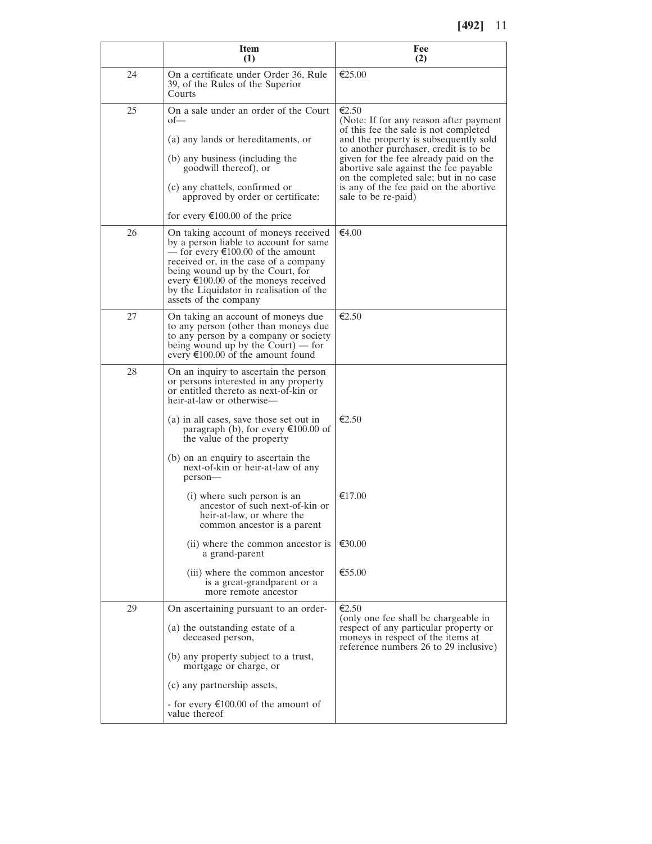|    | <b>Item</b><br>(1)                                                                                                                                                                                                                                                                                                                                                  | Fee<br>(2)                                                                                                                                                                                                                                                                                                                                                             |
|----|---------------------------------------------------------------------------------------------------------------------------------------------------------------------------------------------------------------------------------------------------------------------------------------------------------------------------------------------------------------------|------------------------------------------------------------------------------------------------------------------------------------------------------------------------------------------------------------------------------------------------------------------------------------------------------------------------------------------------------------------------|
| 24 | On a certificate under Order 36, Rule<br>39, of the Rules of the Superior<br>Courts                                                                                                                                                                                                                                                                                 | $\epsilon$ 25.00                                                                                                                                                                                                                                                                                                                                                       |
| 25 | On a sale under an order of the Court<br>ot<br>(a) any lands or hereditaments, or<br>(b) any business (including the<br>goodwill thereof), or<br>(c) any chattels, confirmed or<br>approved by order or certificate:<br>for every $\epsilon$ 100.00 of the price                                                                                                    | €2.50<br>(Note: If for any reason after payment<br>of this fee the sale is not completed<br>and the property is subsequently sold<br>to another purchaser, credit is to be<br>given for the fee already paid on the<br>abortive sale against the fee payable<br>on the completed sale; but in no case<br>is any of the fee paid on the abortive<br>sale to be re-paid) |
| 26 | On taking account of moneys received<br>by a person liable to account for same<br>— for every $\epsilon$ 100.00 of the amount<br>received or, in the case of a company<br>being wound up by the Court, for<br>every $\epsilon$ 100.00 of the moneys received<br>by the Liquidator in realisation of the<br>assets of the company                                    | €4.00                                                                                                                                                                                                                                                                                                                                                                  |
| 27 | On taking an account of moneys due<br>to any person (other than moneys due<br>to any person by a company or society<br>being wound up by the Court) $-$ for<br>every $\epsilon$ 100.00 of the amount found                                                                                                                                                          | $\epsilon$ 2.50                                                                                                                                                                                                                                                                                                                                                        |
| 28 | On an inquiry to ascertain the person<br>or persons interested in any property<br>or entitled thereto as next-of-kin or<br>heir-at-law or otherwise—<br>(a) in all cases, save those set out in<br>paragraph (b), for every $\epsilon$ 100.00 of<br>the value of the property<br>(b) on an enquiry to ascertain the<br>next-of-kin or heir-at-law of any<br>person- | $\epsilon$ 2.50                                                                                                                                                                                                                                                                                                                                                        |
|    | (i) where such person is an<br>ancestor of such next-of-kin or<br>heir-at-law, or where the<br>common ancestor is a parent<br>(ii) where the common ancestor is                                                                                                                                                                                                     | €17.00<br>€30.00                                                                                                                                                                                                                                                                                                                                                       |
|    | a grand-parent<br>(iii) where the common ancestor<br>is a great-grandparent or a<br>more remote ancestor                                                                                                                                                                                                                                                            | €55.00                                                                                                                                                                                                                                                                                                                                                                 |
| 29 | On ascertaining pursuant to an order-<br>(a) the outstanding estate of a<br>deceased person,<br>(b) any property subject to a trust,<br>mortgage or charge, or<br>(c) any partnership assets,<br>- for every $\epsilon$ 100.00 of the amount of<br>value thereof                                                                                                    | €2.50<br>(only one fee shall be chargeable in<br>respect of any particular property or<br>moneys in respect of the items at<br>reference numbers 26 to 29 inclusive)                                                                                                                                                                                                   |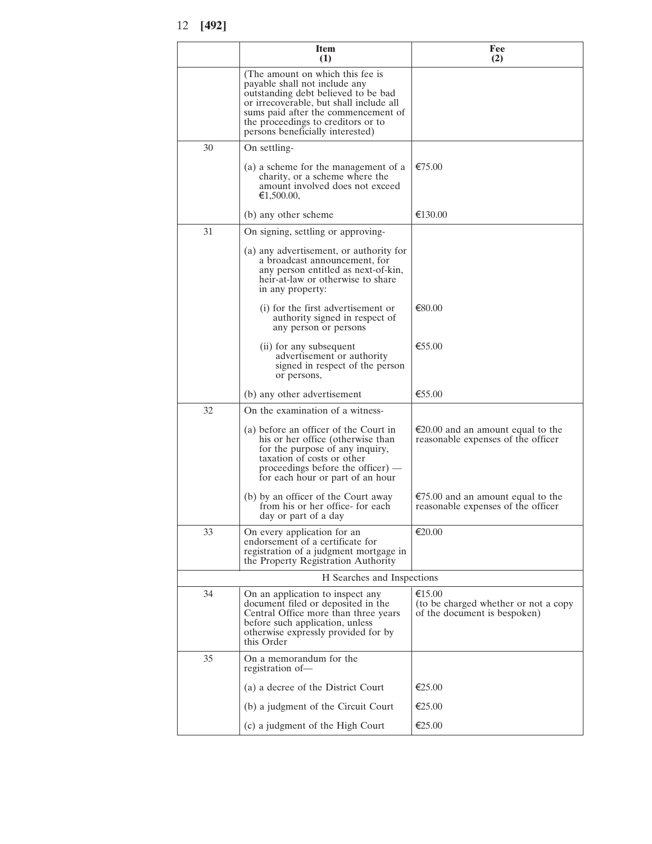|    | <b>Item</b><br>(1)                                                                                                                                                                                                                                                   | Fee<br>(2)                                                                        |
|----|----------------------------------------------------------------------------------------------------------------------------------------------------------------------------------------------------------------------------------------------------------------------|-----------------------------------------------------------------------------------|
|    | (The amount on which this fee is<br>payable shall not include any<br>outstanding debt believed to be bad<br>or irrecoverable, but shall include all<br>sums paid after the commencement of<br>the proceedings to creditors or to<br>persons beneficially interested) |                                                                                   |
| 30 | On settling-                                                                                                                                                                                                                                                         |                                                                                   |
|    | (a) a scheme for the management of a<br>charity, or a scheme where the<br>amount involved does not exceed<br>€1,500.00,                                                                                                                                              | €75.00                                                                            |
|    | (b) any other scheme                                                                                                                                                                                                                                                 | €130.00                                                                           |
| 31 | On signing, settling or approving-                                                                                                                                                                                                                                   |                                                                                   |
|    | (a) any advertisement, or authority for<br>a broadcast announcement, for<br>any person entitled as next-of-kin,<br>heir-at-law or otherwise to share<br>in any property:                                                                                             |                                                                                   |
|    | (i) for the first advertisement or<br>authority signed in respect of<br>any person or persons                                                                                                                                                                        | €80.00                                                                            |
|    | (ii) for any subsequent<br>advertisement or authority<br>signed in respect of the person<br>or persons,                                                                                                                                                              | €55.00                                                                            |
|    | (b) any other advertisement                                                                                                                                                                                                                                          | €55.00                                                                            |
| 32 | On the examination of a witness-                                                                                                                                                                                                                                     |                                                                                   |
|    | (a) before an officer of the Court in<br>his or her office (otherwise than<br>for the purpose of any inquiry,<br>taxation of costs or other<br>proceedings before the officer) $-$<br>for each hour or part of an hour                                               | $\epsilon$ 20.00 and an amount equal to the<br>reasonable expenses of the officer |
|    | (b) by an officer of the Court away<br>from his or her office- for each<br>day or part of a day                                                                                                                                                                      | €75.00 and an amount equal to the<br>reasonable expenses of the officer           |
| 33 | On every application for an<br>endorsement of a certificate for<br>registration of a judgment mortgage in<br>the Property Registration Authority                                                                                                                     | €20.00                                                                            |
|    | H Searches and Inspections                                                                                                                                                                                                                                           |                                                                                   |
| 34 | On an application to inspect any<br>document filed or deposited in the<br>Central Office more than three years<br>before such application, unless<br>otherwise expressly provided for by<br>this Order                                                               | €15.00<br>(to be charged whether or not a copy<br>of the document is bespoken)    |
| 35 | On a memorandum for the<br>registration of-                                                                                                                                                                                                                          |                                                                                   |
|    | (a) a decree of the District Court                                                                                                                                                                                                                                   | $\epsilon$ 25.00                                                                  |
|    | (b) a judgment of the Circuit Court                                                                                                                                                                                                                                  | €25.00                                                                            |
|    | (c) a judgment of the High Court                                                                                                                                                                                                                                     | €25.00                                                                            |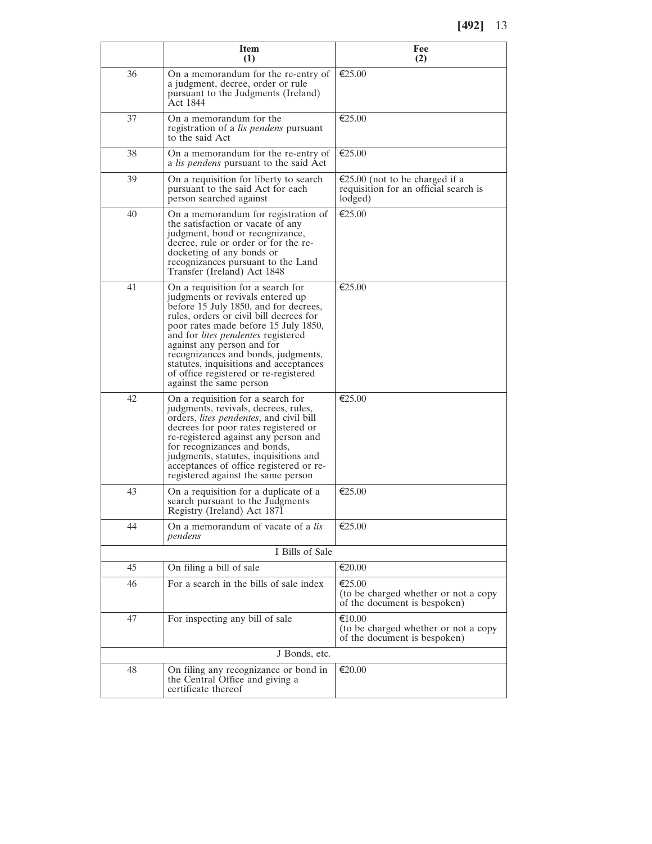**[492]** 13

|    | <b>Item</b><br>(1)                                                                                                                                                                                                                                                                                                                                                                                                                | Fee<br>(2)                                                                         |
|----|-----------------------------------------------------------------------------------------------------------------------------------------------------------------------------------------------------------------------------------------------------------------------------------------------------------------------------------------------------------------------------------------------------------------------------------|------------------------------------------------------------------------------------|
| 36 | On a memorandum for the re-entry of<br>a judgment, decree, order or rule<br>pursuant to the Judgments (Ireland)<br>Act 1844                                                                                                                                                                                                                                                                                                       | €25.00                                                                             |
| 37 | On a memorandum for the<br>registration of a <i>lis pendens</i> pursuant<br>to the said Act                                                                                                                                                                                                                                                                                                                                       | €25.00                                                                             |
| 38 | On a memorandum for the re-entry of<br>a <i>lis pendens</i> pursuant to the said Act                                                                                                                                                                                                                                                                                                                                              | $\epsilon$ 25.00                                                                   |
| 39 | On a requisition for liberty to search<br>pursuant to the said Act for each<br>person searched against                                                                                                                                                                                                                                                                                                                            | €25.00 (not to be charged if a<br>requisition for an official search is<br>lodged) |
| 40 | On a memorandum for registration of<br>the satisfaction or vacate of any<br>judgment, bond or recognizance,<br>decree, rule or order or for the re-<br>docketing of any bonds or<br>recognizances pursuant to the Land<br>Transfer (Ireland) Act 1848                                                                                                                                                                             | €25.00                                                                             |
| 41 | On a requisition for a search for<br>judgments or revivals entered up<br>before 15 July 1850, and for decrees,<br>rules, orders or civil bill decrees for<br>poor rates made before 15 July 1850,<br>and for <i>lites pendentes</i> registered<br>against any person and for<br>recognizances and bonds, judgments,<br>statutes, inquisitions and acceptances<br>of office registered or re-registered<br>against the same person | $\epsilon$ 25.00                                                                   |
| 42 | On a requisition for a search for<br>judgments, revivals, decrees, rules,<br>orders, <i>lites pendentes</i> , and civil bill<br>decrees for poor rates registered or<br>re-registered against any person and<br>for recognizances and bonds,<br>judgments, statutes, inquisitions and<br>acceptances of office registered or re-<br>registered against the same person                                                            | $\epsilon$ 25.00                                                                   |
| 43 | On a requisition for a duplicate of a<br>search pursuant to the Judgments<br>Registry (Ireland) Act 1871                                                                                                                                                                                                                                                                                                                          | €25.00                                                                             |
| 44 | On a memorandum of vacate of a lis<br>pendens                                                                                                                                                                                                                                                                                                                                                                                     | €25.00                                                                             |
|    | I Bills of Sale                                                                                                                                                                                                                                                                                                                                                                                                                   |                                                                                    |
| 45 | On filing a bill of sale                                                                                                                                                                                                                                                                                                                                                                                                          | €20.00                                                                             |
| 46 | For a search in the bills of sale index                                                                                                                                                                                                                                                                                                                                                                                           | €25.00<br>(to be charged whether or not a copy<br>of the document is bespoken)     |
| 47 | For inspecting any bill of sale                                                                                                                                                                                                                                                                                                                                                                                                   | €10.00<br>(to be charged whether or not a copy<br>of the document is bespoken)     |
|    | J Bonds, etc.                                                                                                                                                                                                                                                                                                                                                                                                                     |                                                                                    |
| 48 | On filing any recognizance or bond in<br>the Central Office and giving a<br>certificate thereof                                                                                                                                                                                                                                                                                                                                   | €20.00                                                                             |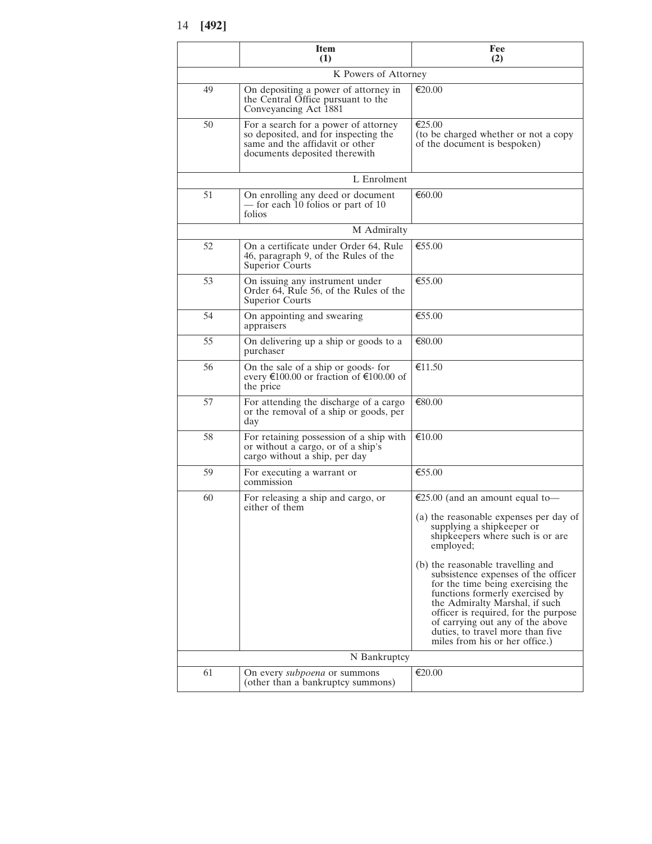|    | <b>Item</b><br>(1)                                                                                                                               | Fee<br>(2)                                                                                                                                                                                                                                                                                      |  |
|----|--------------------------------------------------------------------------------------------------------------------------------------------------|-------------------------------------------------------------------------------------------------------------------------------------------------------------------------------------------------------------------------------------------------------------------------------------------------|--|
|    | K Powers of Attorney                                                                                                                             |                                                                                                                                                                                                                                                                                                 |  |
| 49 | On depositing a power of attorney in<br>the Central Office pursuant to the<br>Conveyancing Act 1881                                              | $\epsilon$ 20.00                                                                                                                                                                                                                                                                                |  |
| 50 | For a search for a power of attorney<br>so deposited, and for inspecting the<br>same and the affidavit or other<br>documents deposited therewith | €25.00<br>(to be charged whether or not a copy<br>of the document is bespoken)                                                                                                                                                                                                                  |  |
|    | L Enrolment                                                                                                                                      |                                                                                                                                                                                                                                                                                                 |  |
| 51 | On enrolling any deed or document<br>- for each 10 folios or part of 10<br>folios                                                                | €60.00                                                                                                                                                                                                                                                                                          |  |
|    | M Admiralty                                                                                                                                      |                                                                                                                                                                                                                                                                                                 |  |
| 52 | On a certificate under Order 64, Rule<br>46, paragraph 9, of the Rules of the<br>Superior Courts                                                 | $\epsilon$ 55.00                                                                                                                                                                                                                                                                                |  |
| 53 | On issuing any instrument under<br>Order 64, Rule 56, of the Rules of the<br>Superior Courts                                                     | €55.00                                                                                                                                                                                                                                                                                          |  |
| 54 | On appointing and swearing<br>appraisers                                                                                                         | €55.00                                                                                                                                                                                                                                                                                          |  |
| 55 | On delivering up a ship or goods to a<br>purchaser                                                                                               | €80.00                                                                                                                                                                                                                                                                                          |  |
| 56 | On the sale of a ship or goods- for<br>every $\epsilon$ 100.00 or fraction of $\epsilon$ 100.00 of<br>the price                                  | €11.50                                                                                                                                                                                                                                                                                          |  |
| 57 | For attending the discharge of a cargo<br>or the removal of a ship or goods, per<br>day                                                          | €80.00                                                                                                                                                                                                                                                                                          |  |
| 58 | For retaining possession of a ship with<br>or without a cargo, or of a ship's<br>cargo without a ship, per day                                   | €10.00                                                                                                                                                                                                                                                                                          |  |
| 59 | For executing a warrant or<br>commission                                                                                                         | €55.00                                                                                                                                                                                                                                                                                          |  |
| 60 | For releasing a ship and cargo, or<br>either of them                                                                                             | €25.00 (and an amount equal to-                                                                                                                                                                                                                                                                 |  |
|    |                                                                                                                                                  | (a) the reasonable expenses per day of supplying a shipkeeper or<br>shipkeepers where such is or are<br>employed;<br>(b) the reasonable travelling and                                                                                                                                          |  |
|    |                                                                                                                                                  | subsistence expenses of the officer<br>for the time being exercising the<br>functions formerly exercised by<br>the Admiralty Marshal, if such<br>officer is required, for the purpose<br>of carrying out any of the above<br>duties, to travel more than five<br>miles from his or her office.) |  |
|    | N Bankruptcy                                                                                                                                     |                                                                                                                                                                                                                                                                                                 |  |
| 61 | On every <i>subpoena</i> or summons<br>(other than a bankruptcy summons)                                                                         | €20.00                                                                                                                                                                                                                                                                                          |  |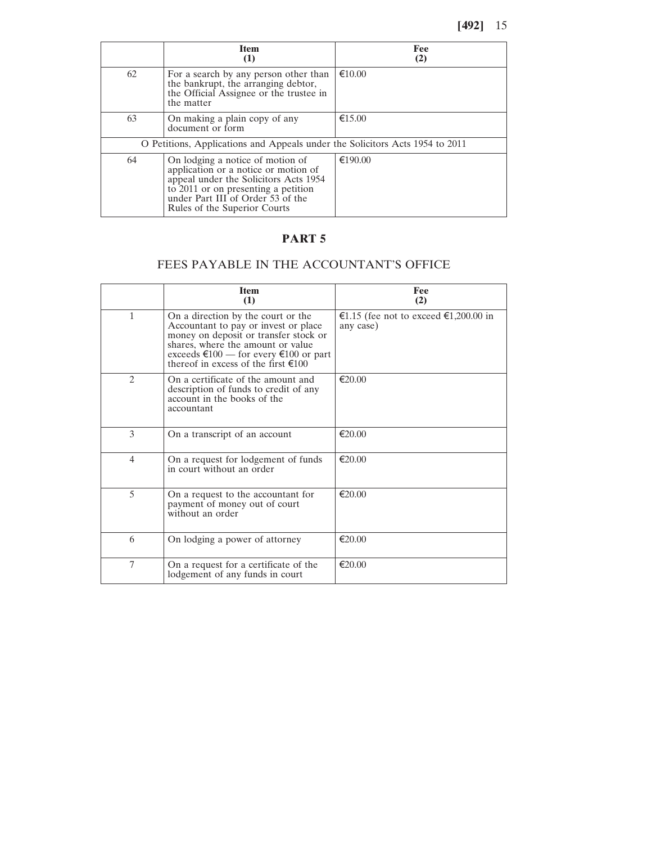|                                                                              | <b>Item</b><br>$\left(1\right)$                                                                                                                                                                                               | Fee<br>(2)       |
|------------------------------------------------------------------------------|-------------------------------------------------------------------------------------------------------------------------------------------------------------------------------------------------------------------------------|------------------|
| 62                                                                           | For a search by any person other than<br>the bankrupt, the arranging debtor,<br>the Official Assignee or the trustee in<br>the matter                                                                                         | $\epsilon$ 10.00 |
| 63                                                                           | On making a plain copy of any<br>document or form                                                                                                                                                                             | €15.00           |
| O Petitions, Applications and Appeals under the Solicitors Acts 1954 to 2011 |                                                                                                                                                                                                                               |                  |
| 64                                                                           | On lodging a notice of motion of<br>application or a notice or motion of<br>appeal under the Solicitors Acts 1954<br>to 2011 or on presenting a petition<br>under Part III of Order 53 of the<br>Rules of the Superior Courts | €190.00          |

# FEES PAYABLE IN THE ACCOUNTANT'S OFFICE

|               | <b>Item</b><br>(1)                                                                                                                                                                                                                                  | Fee<br>(2)                                         |
|---------------|-----------------------------------------------------------------------------------------------------------------------------------------------------------------------------------------------------------------------------------------------------|----------------------------------------------------|
| $\mathbf{1}$  | On a direction by the court or the<br>Accountant to pay or invest or place.<br>money on deposit or transfer stock or<br>shares, where the amount or value<br>exceeds €100 — for every €100 or part<br>thereof in excess of the first $\epsilon$ 100 | €1.15 (fee not to exceed €1,200.00 in<br>any case) |
| $\mathcal{L}$ | On a certificate of the amount and<br>description of funds to credit of any<br>account in the books of the<br>accountant                                                                                                                            | $\epsilon$ 20.00                                   |
| 3             | On a transcript of an account                                                                                                                                                                                                                       | $\epsilon$ 20.00                                   |
| 4             | On a request for lodgement of funds<br>in court without an order                                                                                                                                                                                    | $\epsilon$ 20.00                                   |
| 5             | On a request to the accountant for<br>payment of money out of court<br>without an order                                                                                                                                                             | €20.00                                             |
| 6             | On lodging a power of attorney                                                                                                                                                                                                                      | €20.00                                             |
| 7             | On a request for a certificate of the<br>lodgement of any funds in court                                                                                                                                                                            | €20.00                                             |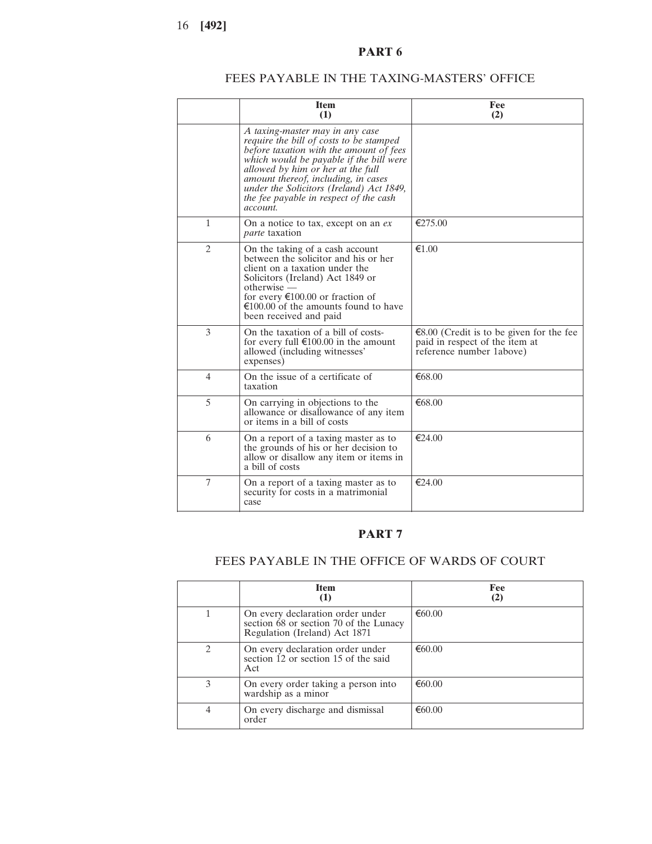## **PART 6**

## FEES PAYABLE IN THE TAXING-MASTERS' OFFICE

|                | <b>Item</b><br>(1)                                                                                                                                                                                                                                                                                                                             | Fee<br>(2)                                                                                             |
|----------------|------------------------------------------------------------------------------------------------------------------------------------------------------------------------------------------------------------------------------------------------------------------------------------------------------------------------------------------------|--------------------------------------------------------------------------------------------------------|
|                | A taxing-master may in any case<br>require the bill of costs to be stamped<br>before taxation with the amount of fees<br>which would be payable if the bill were<br>allowed by him or her at the full<br>amount thereof, including, in cases<br>under the Solicitors (Ireland) Act 1849,<br>the fee payable in respect of the cash<br>account. |                                                                                                        |
| $\mathbf{1}$   | On a notice to tax, except on an ex<br><i>parte</i> taxation                                                                                                                                                                                                                                                                                   | €275.00                                                                                                |
| $\overline{2}$ | On the taking of a cash account<br>between the solicitor and his or her<br>client on a taxation under the<br>Solicitors (Ireland) Act 1849 or<br>$otherwise -$<br>for every $\epsilon$ 100.00 or fraction of<br>$\epsilon$ 100.00 of the amounts found to have<br>been received and paid                                                       | €1.00                                                                                                  |
| 3              | On the taxation of a bill of costs-<br>for every full $\epsilon$ 100.00 in the amount<br>allowed (including witnesses'<br>expenses)                                                                                                                                                                                                            | €8.00 (Credit is to be given for the fee<br>paid in respect of the item at<br>reference number 1above) |
| $\overline{4}$ | On the issue of a certificate of<br>taxation                                                                                                                                                                                                                                                                                                   | €68.00                                                                                                 |
| 5              | On carrying in objections to the<br>allowance or disallowance of any item<br>or items in a bill of costs                                                                                                                                                                                                                                       | € $68.00$                                                                                              |
| 6              | On a report of a taxing master as to<br>the grounds of his or her decision to<br>allow or disallow any item or items in<br>a bill of costs                                                                                                                                                                                                     | €24.00                                                                                                 |
| 7              | On a report of a taxing master as to<br>security for costs in a matrimonial<br>case                                                                                                                                                                                                                                                            | €24.00                                                                                                 |

## **PART 7**

### FEES PAYABLE IN THE OFFICE OF WARDS OF COURT

|                | <b>Item</b><br>(1)                                                                                          | Fee<br>(2) |
|----------------|-------------------------------------------------------------------------------------------------------------|------------|
|                | On every declaration order under<br>section 68 or section 70 of the Lunacy<br>Regulation (Ireland) Act 1871 | €60.00     |
| $\mathfrak{D}$ | On every declaration order under<br>section 12 or section 15 of the said<br>Act                             | € $60.00$  |
| 3              | On every order taking a person into<br>wardship as a minor                                                  | €60.00     |
| 4              | On every discharge and dismissal<br>order                                                                   | €60.00     |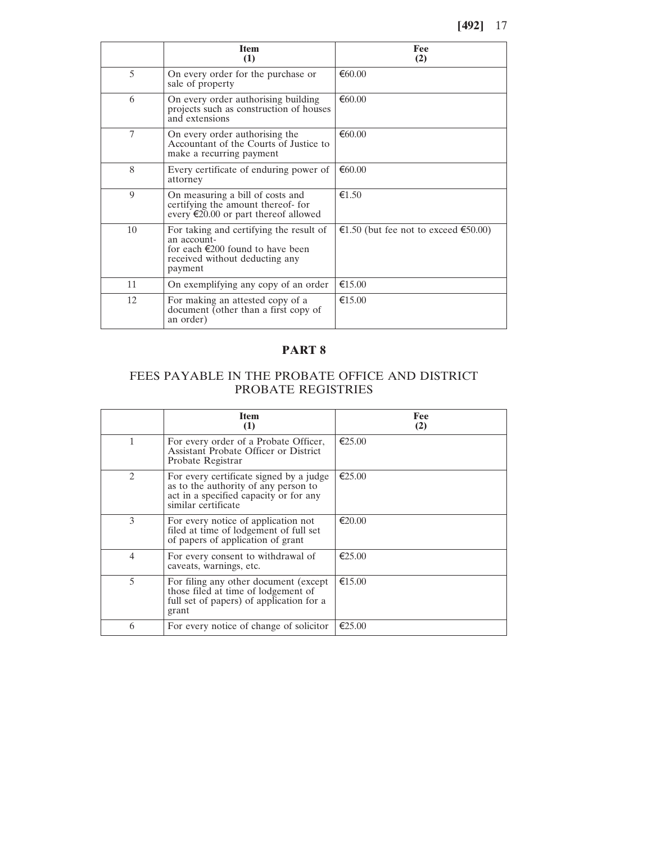|    | <b>Item</b><br>(1)                                                                                                                                | Fee<br>(2)                           |
|----|---------------------------------------------------------------------------------------------------------------------------------------------------|--------------------------------------|
| 5  | On every order for the purchase or<br>sale of property                                                                                            | € $60.00$                            |
| 6  | On every order authorising building<br>projects such as construction of houses<br>and extensions                                                  | € $60.00$                            |
| 7  | On every order authorising the<br>Accountant of the Courts of Justice to<br>make a recurring payment                                              | €60.00                               |
| 8  | Every certificate of enduring power of<br>attorney                                                                                                | € $60.00$                            |
| 9  | On measuring a bill of costs and<br>certifying the amount thereof- for<br>every $\epsilon$ 20.00 or part thereof allowed                          | €1.50                                |
| 10 | For taking and certifying the result of<br>an account-<br>for each $\epsilon$ 200 found to have been<br>received without deducting any<br>payment | €1.50 (but fee not to exceed €50.00) |
| 11 | On exemplifying any copy of an order                                                                                                              | €15.00                               |
| 12 | For making an attested copy of a<br>document (other than a first copy of<br>an order)                                                             | €15.00                               |

## FEES PAYABLE IN THE PROBATE OFFICE AND DISTRICT PROBATE REGISTRIES

|                             | <b>Item</b><br>(1)                                                                                                                               | Fee<br>(2)       |
|-----------------------------|--------------------------------------------------------------------------------------------------------------------------------------------------|------------------|
| 1                           | For every order of a Probate Officer,<br><b>Assistant Probate Officer or District</b><br>Probate Registrar                                       | $\epsilon$ 25.00 |
| $\mathcal{D}_{\mathcal{L}}$ | For every certificate signed by a judge<br>as to the authority of any person to<br>act in a specified capacity or for any<br>similar certificate | $\epsilon$ 25.00 |
| 3                           | For every notice of application not<br>filed at time of lodgement of full set<br>of papers of application of grant                               | €20.00           |
| 4                           | For every consent to withdrawal of<br>caveats, warnings, etc.                                                                                    | $\epsilon$ 25.00 |
| 5                           | For filing any other document (except)<br>those filed at time of lodgement of<br>full set of papers) of application for a<br>grant               | €15.00           |
| 6                           | For every notice of change of solicitor                                                                                                          | $\epsilon$ 25.00 |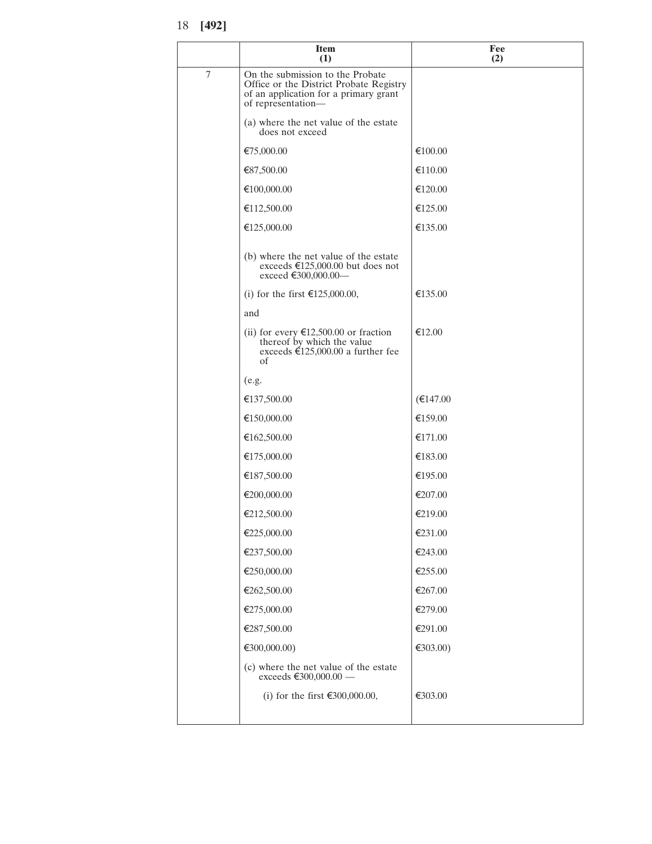|        | <b>Item</b><br>(1)                                                                                                                         | Fee<br>(2) |
|--------|--------------------------------------------------------------------------------------------------------------------------------------------|------------|
| $\tau$ | On the submission to the Probate<br>Office or the District Probate Registry<br>of an application for a primary grant<br>of representation- |            |
|        | (a) where the net value of the estate<br>does not exceed                                                                                   |            |
|        | €75,000.00                                                                                                                                 | €100.00    |
|        | €87,500.00                                                                                                                                 | €110.00    |
|        | €100,000.00                                                                                                                                | €120.00    |
|        | €112,500.00                                                                                                                                | €125.00    |
|        | €125,000.00                                                                                                                                | €135.00    |
|        | (b) where the net value of the estate<br>exceeds $\text{£}125,000.00$ but does not<br>exceed €300,000.00—                                  |            |
|        | (i) for the first $£125,000.00,$                                                                                                           | €135.00    |
|        | and                                                                                                                                        |            |
|        | (ii) for every $\text{£}12,500.00$ or fraction<br>thereof by which the value<br>exceeds €125,000.00 a further fee<br>οf                    | €12.00     |
|        | (e.g.                                                                                                                                      |            |
|        | €137,500.00                                                                                                                                | €147.00    |
|        | €150,000.00                                                                                                                                | €159.00    |
|        | €162,500.00                                                                                                                                | €171.00    |
|        | €175,000.00                                                                                                                                | €183.00    |
|        | €187,500.00                                                                                                                                | €195.00    |
|        | €200,000.00                                                                                                                                | €207.00    |
|        | €212,500.00                                                                                                                                | €219.00    |
|        | €225,000.00                                                                                                                                | €231.00    |
|        | €237,500.00                                                                                                                                | €243.00    |
|        | €250,000.00                                                                                                                                | €255.00    |
|        | €262,500.00                                                                                                                                | €267.00    |
|        | €275,000.00                                                                                                                                | €279.00    |
|        | €287,500.00                                                                                                                                | €291.00    |
|        | €300,000.00)                                                                                                                               | €303.00)   |
|        | (c) where the net value of the estate<br>exceeds €300,000.00 -                                                                             |            |
|        | (i) for the first €300,000.00,                                                                                                             | €303.00    |
|        |                                                                                                                                            |            |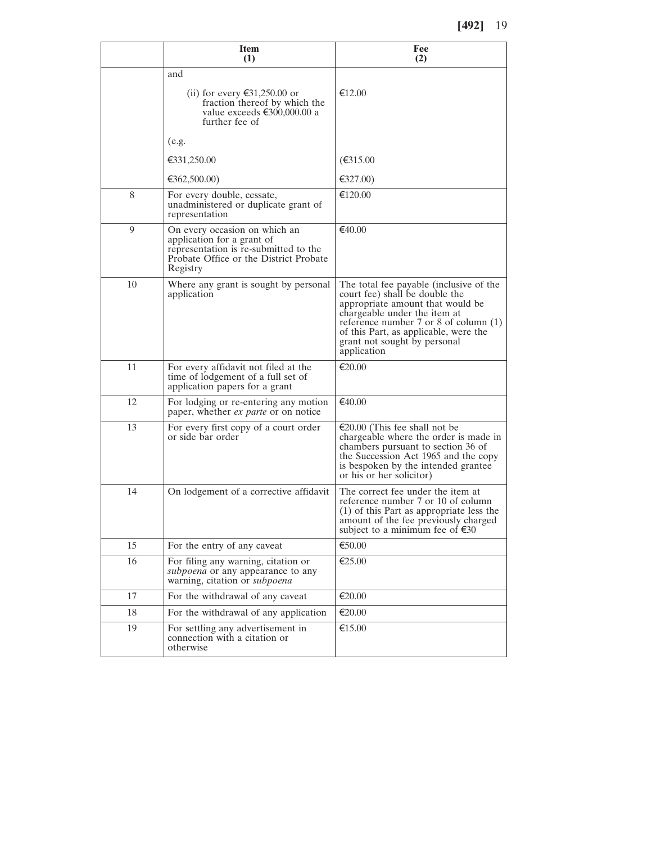|    | <b>Item</b><br>(1)                                                                                                                                         | Fee<br>(2)                                                                                                                                                                                                                                                                           |
|----|------------------------------------------------------------------------------------------------------------------------------------------------------------|--------------------------------------------------------------------------------------------------------------------------------------------------------------------------------------------------------------------------------------------------------------------------------------|
|    | and<br>(ii) for every €31,250.00 or<br>fraction thereof by which the<br>value exceeds €300,000.00 a<br>further fee of                                      | €12.00                                                                                                                                                                                                                                                                               |
|    | (e.g.                                                                                                                                                      |                                                                                                                                                                                                                                                                                      |
|    | €331,250.00                                                                                                                                                | €315.00                                                                                                                                                                                                                                                                              |
|    | €362,500.00)                                                                                                                                               | €327.00)                                                                                                                                                                                                                                                                             |
| 8  | For every double, cessate,<br>unadministered or duplicate grant of<br>representation                                                                       | €120.00                                                                                                                                                                                                                                                                              |
| 9  | On every occasion on which an<br>application for a grant of<br>representation is re-submitted to the<br>Probate Office or the District Probate<br>Registry | €40.00                                                                                                                                                                                                                                                                               |
| 10 | Where any grant is sought by personal<br>application                                                                                                       | The total fee payable (inclusive of the<br>court fee) shall be double the<br>appropriate amount that would be<br>chargeable under the item at<br>reference number $7$ or $8$ of column $(1)$<br>of this Part, as applicable, were the<br>grant not sought by personal<br>application |
| 11 | For every affidavit not filed at the<br>time of lodgement of a full set of<br>application papers for a grant                                               | €20.00                                                                                                                                                                                                                                                                               |
| 12 | For lodging or re-entering any motion<br>paper, whether <i>ex parte</i> or on notice                                                                       | €40.00                                                                                                                                                                                                                                                                               |
| 13 | For every first copy of a court order<br>or side bar order                                                                                                 | €20.00 (This fee shall not be<br>chargeable where the order is made in<br>chambers pursuant to section 36 of<br>the Succession Act 1965 and the copy<br>is bespoken by the intended grantee<br>or his or her solicitor)                                                              |
| 14 | On lodgement of a corrective affidavit                                                                                                                     | The correct fee under the item at<br>reference number 7 or 10 of column<br>(1) of this Part as appropriate less the<br>amount of the fee previously charged<br>subject to a minimum fee of $\epsilon$ 30                                                                             |
| 15 | For the entry of any caveat                                                                                                                                | €50.00                                                                                                                                                                                                                                                                               |
| 16 | For filing any warning, citation or<br>subpoena or any appearance to any<br>warning, citation or subpoena                                                  | €25.00                                                                                                                                                                                                                                                                               |
| 17 | For the withdrawal of any caveat                                                                                                                           | €20.00                                                                                                                                                                                                                                                                               |
| 18 | For the withdrawal of any application                                                                                                                      | €20.00                                                                                                                                                                                                                                                                               |
| 19 | For settling any advertisement in<br>connection with a citation or<br>otherwise                                                                            | €15.00                                                                                                                                                                                                                                                                               |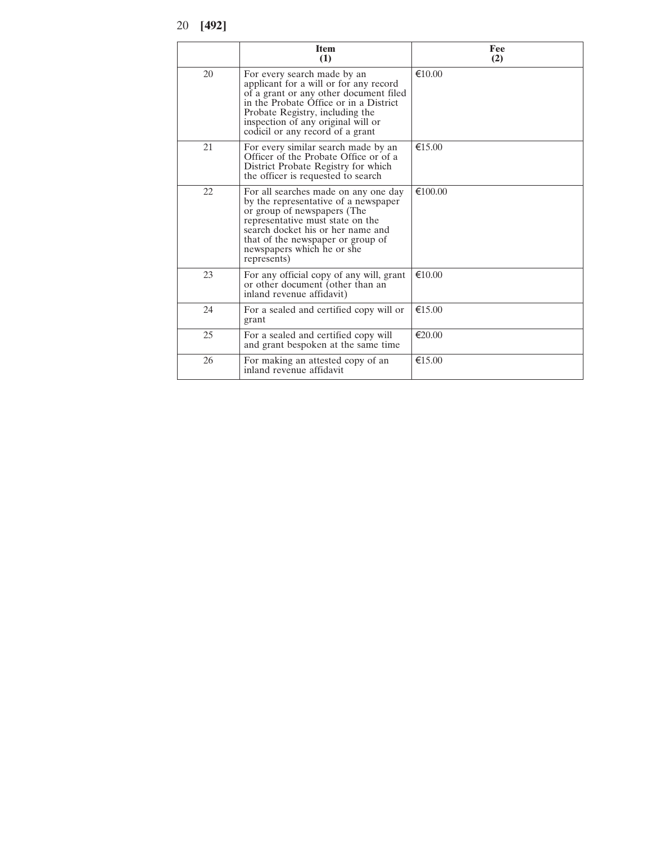<sup>20</sup> **[492]**

|    | <b>Item</b><br>(1)                                                                                                                                                                                                                                                     | Fee<br>(2)       |
|----|------------------------------------------------------------------------------------------------------------------------------------------------------------------------------------------------------------------------------------------------------------------------|------------------|
| 20 | For every search made by an<br>applicant for a will or for any record<br>of a grant or any other document filed<br>in the Probate Office or in a District<br>Probate Registry, including the<br>inspection of any original will or<br>codicil or any record of a grant | $\epsilon$ 10.00 |
| 21 | For every similar search made by an<br>Officer of the Probate Office or of a<br>District Probate Registry for which<br>the officer is requested to search                                                                                                              | €15.00           |
| 22 | For all searches made on any one day<br>by the representative of a newspaper<br>or group of newspapers (The<br>representative must state on the<br>search docket his or her name and<br>that of the newspaper or group of<br>newspapers which he or she<br>represents) | €100.00          |
| 23 | For any official copy of any will, grant<br>or other document (other than an<br>inland revenue affidavit)                                                                                                                                                              | €10.00           |
| 24 | For a sealed and certified copy will or<br>grant                                                                                                                                                                                                                       | €15.00           |
| 25 | For a sealed and certified copy will<br>and grant bespoken at the same time                                                                                                                                                                                            | €20.00           |
| 26 | For making an attested copy of an<br>inland revenue affidavit                                                                                                                                                                                                          | €15.00           |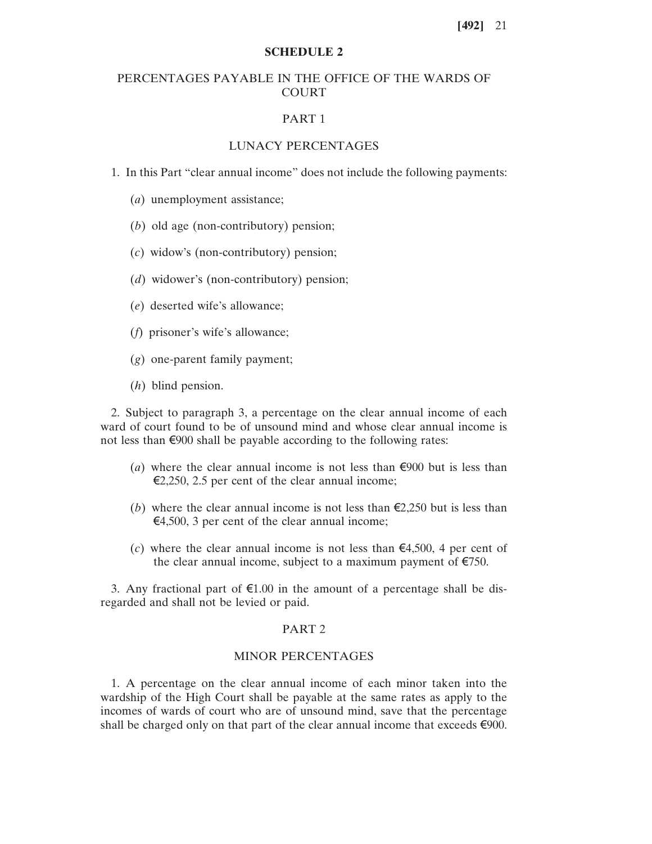#### **SCHEDULE 2**

## PERCENTAGES PAYABLE IN THE OFFICE OF THE WARDS OF COURT

#### PART 1

#### LUNACY PERCENTAGES

1. In this Part "clear annual income" does not include the following payments:

- (*a*) unemployment assistance;
- (*b*) old age (non-contributory) pension;
- (*c*) widow's (non-contributory) pension;
- (*d*) widower's (non-contributory) pension;
- (*e*) deserted wife's allowance;
- (*f*) prisoner's wife's allowance;
- (*g*) one-parent family payment;
- (*h*) blind pension.

2. Subject to paragraph 3, a percentage on the clear annual income of each ward of court found to be of unsound mind and whose clear annual income is not less than €900 shall be payable according to the following rates:

- (*a*) where the clear annual income is not less than  $\epsilon$ 900 but is less than  $\epsilon$ 2,250, 2.5 per cent of the clear annual income;
- (*b*) where the clear annual income is not less than  $\epsilon$ 2,250 but is less than  $\epsilon$ 4,500, 3 per cent of the clear annual income;
- (*c*) where the clear annual income is not less than  $\epsilon$ 4,500, 4 per cent of the clear annual income, subject to a maximum payment of  $\epsilon$ 750.

3. Any fractional part of  $\epsilon$ 1.00 in the amount of a percentage shall be disregarded and shall not be levied or paid.

#### PART 2

#### MINOR PERCENTAGES

1. A percentage on the clear annual income of each minor taken into the wardship of the High Court shall be payable at the same rates as apply to the incomes of wards of court who are of unsound mind, save that the percentage shall be charged only on that part of the clear annual income that exceeds  $\epsilon$ 900.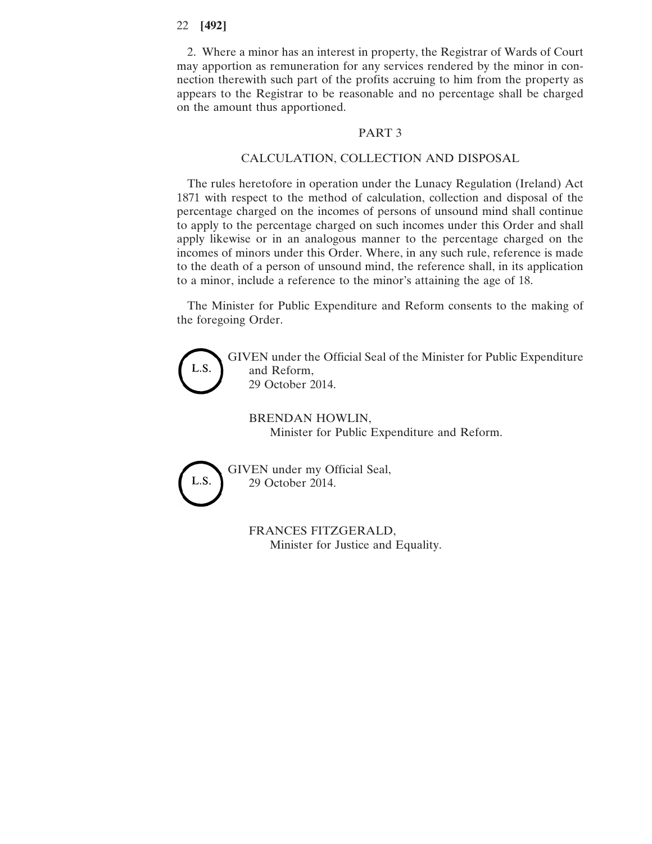2. Where a minor has an interest in property, the Registrar of Wards of Court may apportion as remuneration for any services rendered by the minor in connection therewith such part of the profits accruing to him from the property as appears to the Registrar to be reasonable and no percentage shall be charged on the amount thus apportioned.

#### PART 3

#### CALCULATION, COLLECTION AND DISPOSAL

The rules heretofore in operation under the Lunacy Regulation (Ireland) Act 1871 with respect to the method of calculation, collection and disposal of the percentage charged on the incomes of persons of unsound mind shall continue to apply to the percentage charged on such incomes under this Order and shall apply likewise or in an analogous manner to the percentage charged on the incomes of minors under this Order. Where, in any such rule, reference is made to the death of a person of unsound mind, the reference shall, in its application to a minor, include a reference to the minor's attaining the age of 18.

The Minister for Public Expenditure and Reform consents to the making of the foregoing Order.



Minister for Justice and Equality.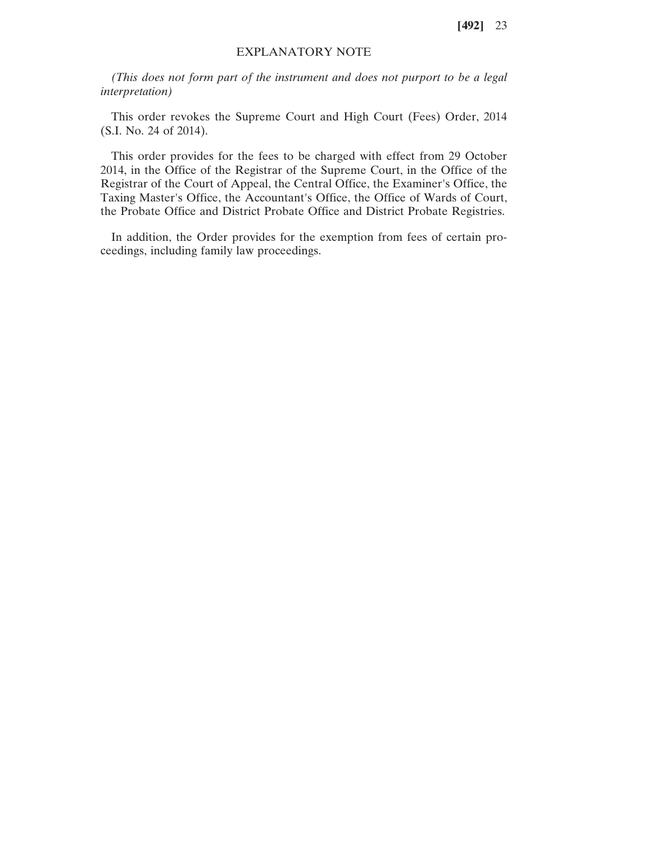### EXPLANATORY NOTE

*(This does not form part of the instrument and does not purport to be a legal interpretation)*

This order revokes the Supreme Court and High Court (Fees) Order, 2014 (S.I. No. 24 of 2014).

This order provides for the fees to be charged with effect from 29 October 2014, in the Office of the Registrar of the Supreme Court, in the Office of the Registrar of the Court of Appeal, the Central Office, the Examiner's Office, the Taxing Master's Office, the Accountant's Office, the Office of Wards of Court, the Probate Office and District Probate Office and District Probate Registries.

In addition, the Order provides for the exemption from fees of certain proceedings, including family law proceedings.